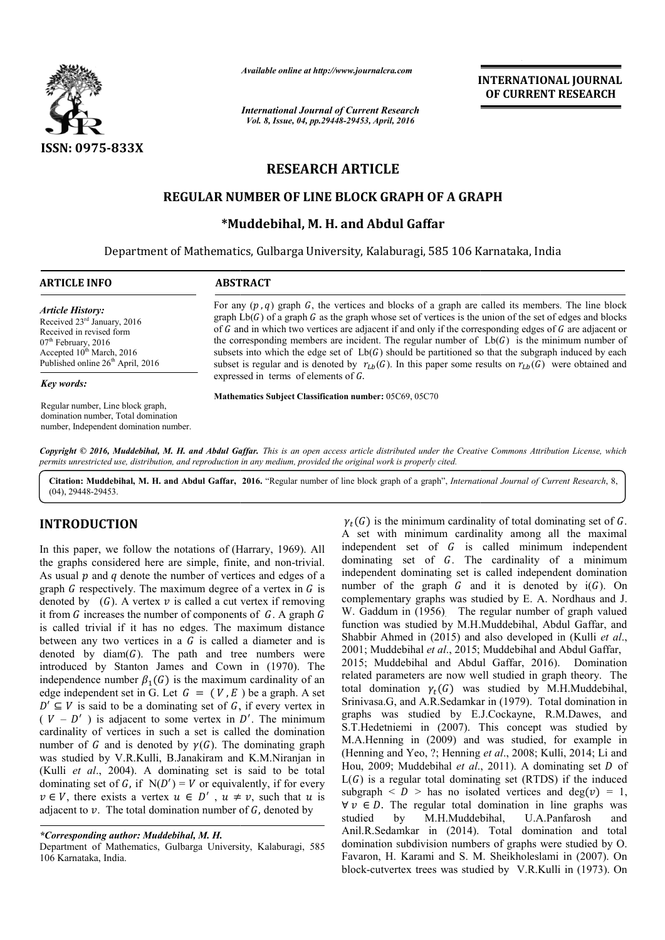

*Available online at http://www.journalcra.com*

*International Journal of Current Research Vol. 8, Issue, 04, pp.29448-29453, April, 2016*

**INTERNATIONAL JOURNAL OF CURRENT RESEARCH** 

# **RESEARCH ARTICLE**

# **REGULAR NUMBER OF LINE BLOCK GRAPH OF A GRAPH BLOCK GRAPH OF**

# **\*Muddebihal Muddebihal, M. H. and Abdul Gaffar**

Department of Mathematics, Gulbarga University, Kalaburagi, 585 106 Karnataka, India  $\overline{a}$ 

### **ARTICLE INFO ABSTRACT**

*Article History:* Received 23rd January, 2016 Received in revised form 07<sup>th</sup> February, 2016 Accepted  $10^{th}$  March, 2016 Published online 26<sup>th</sup> April, 2016

#### *Key words:*

Regular number, Line block graph, domination number, Total domination number, Independent domination number. For any  $(p, q)$  graph G, the vertices and blocks of a graph are called its members. The line block graph  $L\mathfrak{b}(G)$  of a graph G as the graph whose set of vertices is the union of the set of edges and blocks graph  $Lb(G)$  of a graph G as the graph whose set of vertices is the union of the set of edges and blocks of G and in which two vertices are adjacent if and only if the corresponding edges of G are adjacent or the corresponding members are incident. The regular number of  $Lb(G)$  is the minimum number of subsets into which the edge set of  $Lb(G)$  should be partitioned so that the subgraph induced by each subsets into which the edge set of  $Lb(G)$  should be partitioned so that the subgraph induced by each subset is regular and is denoted by  $r_{Lb}(G)$ . In this paper some results on  $r_{Lb}(G)$  were obtained and expressed in terms of elements of G.

**Mathematics Subject Classification number:** 05C69, 05C70

Copyright © 2016, Muddebihal, M. H. and Abdul Gaffar. This is an open access article distributed under the Creative Commons Attribution License, which *permits unrestricted use, distribution, and reproduction in any medium, provided the original work is properly cited.*

Citation: Muddebihal, M. H. and Abdul Gaffar, 2016. "Regular number of line block graph of a graph", *International Journal of Current Research*, 8, (04), 29448-29453.

## **INTRODUCTION**

In this paper, we follow the notations of (Harrary, 1969). All the graphs considered here are simple, finite, and non-trivial. As usual  $p$  and  $q$  denote the number of vertices and edges of a graph  $G$  respectively. The maximum degree of a vertex in  $G$  is denoted by  $(G)$ . A vertex  $v$  is called a cut vertex if removing it from  $G$  increases the number of components of  $G$ . A graph  $G$ is called trivial if it has no edges. The maximum distance between any two vertices in a  $G$  is called a diameter and is denoted by  $diam(G)$ . The path and tree numbers were introduced by Stanton James and Cown in (1970). The independence number  $\beta_1(G)$  is the maximum cardinality of an edge independent set in G. Let  $G = (V, E)$  be a graph. A set  $D' \subseteq V$  is said to be a dominating set of G, if every vertex in  $(V - D')$  is adjacent to some vertex in D'. The minimum cardinality of vertices in such a set is called the domination number of G and is denoted by  $\gamma(G)$ . The dominating graph was studied by V.R.Kulli, B.Janakiram and K.M.Niranja K.M.Niranjan in (Kulli *et al*., 2004). A dominating set is said to be total . dominating set of G, if  $N(D') = V$  or equivalently, if for every  $v \in V$ , there exists a vertex  $u \in D'$ ,  $u \neq v$ , such that u is adjacent to  $v$ . The total domination number of  $G$ , denoted by

Department of Mathematics, Gulbarga University, Kalaburagi, 585 106 Karnataka, India.

 $\gamma_t(G)$  is the minimum cardinality of total dominating set of G. A set with minimum cardinality among all the maximal independent set of G is called minimum independent dominating set of  $G$ . The cardinality of a minimum independent dominating set is called independent domination number of the graph  $G$  and it is denoted by  $i(G)$ . On complementary graphs was studied by E. A. Nordhaus and J. W. Gaddum in (1956). The regular number of graph valued function was studied by M.H.Muddebihal, Abdul Gaffar, and Shabbir Ahmed in (2015) and also developed in (Kulli et al., 2001; Muddebihal et al., 2015; Muddebihal and Abdul Gaffar, 2015; Muddebihal and Abdul Gaffar, 2016). Domination related parameters are now well studied in graph theory. The total domination  $\gamma_t(G)$  was studied by M.H.Muddebihal, Srinivasa.G, and A.R.Sedamkar in (1979). Total domination in graphs was studied by E.J.Cockayne, R.M.Dawes, and graphs was studied by E.J.Cockayne, R.M.Dawes, and S.T.Hedetniemi in (2007). This concept was studied by M.A.Henning in (2009) and was studied, for example in (Henning and Yeo, ?; Henning *et al*., 2008; Kulli, 2014; Li and Hou, 2009; Muddebihal et al., 2011). A dominating set *D* of  $L(G)$  is a regular total dominating set (RTDS) if the induced subgraph  $\langle D \rangle$  has no isolated vertices and deg( $v$ ) = 1, subgraph  $\langle D \rangle$  has no isolated vertices and deg(v) = 1.  $\forall v \in D$ . The regular total domination in line graphs was studied by M.H.Muddebihal, U.A.Panfarosh and Anil.R.Sedamkar in (2014). Total domination and total domination subdivision numbers of graphs were studied by O. Favaron, H. Karami and S. M. Sheikholeslami in (2007). On block-cutvertex trees was studied by V.R.Kulli in (1973). On allity among all the maximal<br>called minimum independent<br>cardinality of a minimum<br>called independent domination<br>d it is denoted by  $i(G)$ . On of graph valued<br>dul Gaffar, and<br>in (Kulli *et al.*, domination in line graphs<br>ebihal, U.A.Panfarosh<br>. Total domination and<br>eers of graphs were studied b

*<sup>\*</sup>Corresponding author: Muddebihal, M. H.*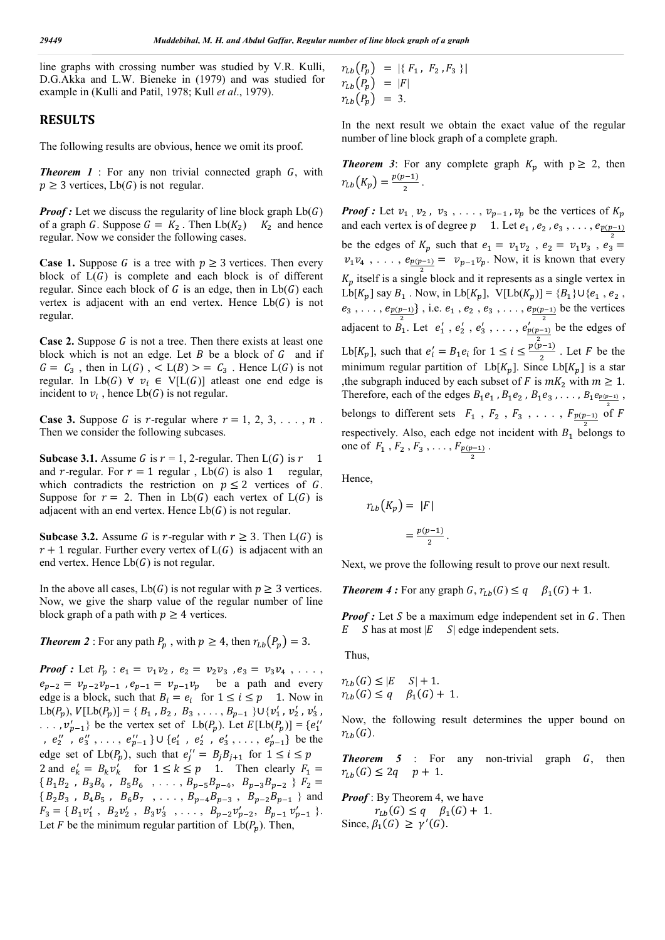line graphs with crossing number was studied by V.R. Kulli, D.G.Akka and L.W. Bieneke in (1979) and was studied for example in (Kulli and Patil, 1978; Kull *et al*., 1979).

## **RESULTS**

The following results are obvious, hence we omit its proof.

**Theorem 1** : For any non trivial connected graph  $G$ , with  $p \geq 3$  vertices, Lb(G) is not regular.

*Proof*: Let we discuss the regularity of line block graph  $Lb(G)$ of a graph G. Suppose  $G = K_2$ . Then  $Lb(K_2)$   $K_2$  and hence regular. Now we consider the following cases.

**Case 1.** Suppose G is a tree with  $p \ge 3$  vertices. Then every block of  $L(G)$  is complete and each block is of different regular. Since each block of  $G$  is an edge, then in  $Lb(G)$  each vertex is adjacent with an end vertex. Hence  $Lb(G)$  is not regular.

**Case 2.** Suppose  $G$  is not a tree. Then there exists at least one block which is not an edge. Let  $B$  be a block of  $G$  and if  $G = C_3$ , then in  $L(G)$ ,  $L(B) > = C_3$ . Hence  $L(G)$  is not regular. In Lb(G)  $\forall$   $v_i \in V[L(G)]$  atleast one end edge is incident to  $v_i$ , hence  $Lb(G)$  is not regular.

**Case 3.** Suppose G is r-regular where  $r = 1, 2, 3, \ldots, n$ . Then we consider the following subcases.

**Subcase 3.1.** Assume G is  $r = 1$ , 2-regular. Then  $L(G)$  is  $r = 1$ and r-regular. For  $r = 1$  regular,  $Lb(G)$  is also 1 regular, which contradicts the restriction on  $p \leq 2$  vertices of G. Suppose for  $r = 2$ . Then in Lb(G) each vertex of L(G) is adjacent with an end vertex. Hence  $Lb(G)$  is not regular.

**Subcase 3.2.** Assume G is r-regular with  $r \geq 3$ . Then  $L(G)$  is  $r + 1$  regular. Further every vertex of  $L(G)$  is adjacent with an end vertex. Hence  $Lb(G)$  is not regular.

In the above all cases,  $Lb(G)$  is not regular with  $p \geq 3$  vertices. Now, we give the sharp value of the regular number of line block graph of a path with  $p \geq 4$  vertices.

**Theorem 2** : For any path  $P_p$ , with  $p \ge 4$ , then  $r_{Lb}(P_p) = 3$ .

*Proof* : Let  $P_p$  :  $e_1 = v_1 v_2$ ,  $e_2 = v_2 v_3$ ,  $e_3 = v_3 v_4$ , ...  $e_{p-2} = v_{p-2}v_{p-1}$ ,  $e_{p-1} = v_{p-1}v_p$  be a path and every edge is a block, such that  $B_i = e_i$  for  $1 \le i \le p$  1. Now in  $Lb(P_p), V[Lb(P_p)] = \{ B_1, B_2, B_3, \ldots, B_{p-1} \} \cup \{ v'_1, v'_2, v'_3,$  $\ldots$ ,  $v'_{p-1}$ } be the vertex set of Lb(P<sub>p</sub>). Let  $E[Lb(P_p)] = \{e''_1\}$ ,  $e_2''$ ,  $e_3''$ , ...,  $e_{p-1}''$   $\}$   $\cup$   $\{e_1'$ ,  $e_2'$ ,  $e_3'$ , ...,  $e_{p-1}'$  be the edge set of  $Lb(P_p)$ , such that  $e_j'' = B_j B_{j+1}$  for  $1 \le i \le p$ 2 and  $e'_k = B_k v'_k$  for  $1 \le k \le p$  1. Then clearly  $F_1 =$ { $B_1 B_2$ ,  $B_3 B_4$ ,  $B_5 B_6$ , ...,  $B_{p-5} B_{p-4}$ ,  $B_{p-3} B_{p-2}$ }  $F_2 =$  ${B_2B_3, B_4B_5, B_6B_7, \ldots, B_{p-4}B_{p-3}, B_{p-2}B_{p-1}}$  and  $F_3 = \{ B_1 v'_1, B_2 v'_2, B_3 v'_3, \ldots, B_{p-2} v'_{p-2}, B_{p-1} v'_{p-1} \}.$ Let F be the minimum regular partition of  $Lb(P_n)$ . Then,

 $r_{Lb}(P_p) = |\{ F_1, F_2, F_3 \}|$  $r_{Lb}(P_p) = |F|$  $r_{Lb}(P_p) = 3.$ 

In the next result we obtain the exact value of the regular number of line block graph of a complete graph.

**Theorem 3**: For any complete graph  $K_p$  with  $p \ge 2$ , then  $r_{Lb}(K_p) = \frac{p(p-1)}{2}$ .

*Proof :* Let  $v_1$ ,  $v_2$ ,  $v_3$ , ...,  $v_{p-1}$ ,  $v_p$  be the vertices of  $K_p$ and each vertex is of degree  $p \quad 1$ . Let  $e_1$ ,  $e_2$ ,  $e_3$ , ...,  $e_{p(p-1)}$ be the edges of  $K_p$  such that  $e_1 = v_1 v_2$ ,  $e_2 = v_1 v_3$ ,  $e_3 =$  $v_1v_4$ , ...,  $e_{\frac{p(p-1)}{2}} = v_{p-1}v_p$ . Now, it is known that every  $K_p$  itself is a single block and it represents as a single vertex in  $\mathrm{Lb}[K_p]$  say  $B_1$  . Now, in  $\mathrm{Lb}[K_p],\ \mathrm{V}[\mathrm{Lb}(K_p)]=\{B_1\}\cup\{e_1$  ,  $e_2$  ,  $e_3, \ldots, e_{\underline{p(p-1)}}\}$ , i.e.  $e_1, e_2, e_3, \ldots, e_{\underline{p(p-1)}}$  be the vertices adjacent to  $B_1$ . Let  $e'_1$ ,  $e'_2$ ,  $e'_3$ , ...,  $e'_{p(p-1)}$  be the edges of  $\overline{\mathbf{c}}$ Lb[ $K_p$ ], such that  $e'_i = B_1 e_i$  for  $1 \le i \le \frac{p(p-1)}{2}$ . Let F be the minimum regular partition of Lb[ $K_p$ ]. Since Lb[ $K_p$ ] is a star , the subgraph induced by each subset of F is  $mK_2$  with  $m \ge 1$ . Therefore, each of the edges  $B_1e_1$ ,  $B_1e_2$ ,  $B_1e_3$ , ...,  $B_1e_{\underline{p(p-1)}}$ , belongs to different sets  $F_1$ ,  $F_2$ ,  $F_3$ , ...,  $F_{\frac{p(p-1)}{2}}$  of F respectively. Also, each edge not incident with  $B_1$  belongs to one of  $F_1$ ,  $F_2$ ,  $F_3$ , ...,  $F_{\frac{p(p-1)}{2}}$ .

Hence,

$$
r_{Lb}(K_p) = |F|
$$

$$
= \frac{p(p-1)}{2}.
$$

Next, we prove the following result to prove our next result.

*Theorem 4* : For any graph  $G$ ,  $r_{Lb}(G) \leq q \quad \beta_1(G) + 1$ .

*Proof*: Let S be a maximum edge independent set in G. Then  $E$  S has at most  $|E$  S edge independent sets.

Thus,

$$
r_{Lb}(G) \le |E \t S| + 1.
$$
  

$$
r_{Lb}(G) \le q \t \beta_1(G) + 1.
$$

Now, the following result determines the upper bound on  $r_{Lh}(G)$ .

**Theorem 5** : For any non-trivial graph  $G$ , then  $r_{Lb}(G) \le 2q$   $p + 1$ .

*Proof* : By Theorem 4, we have  $r_{Lb}(G) \leq q \quad \beta_1(G) + 1.$ Since,  $\beta_1(G) \ge \gamma'(G)$ .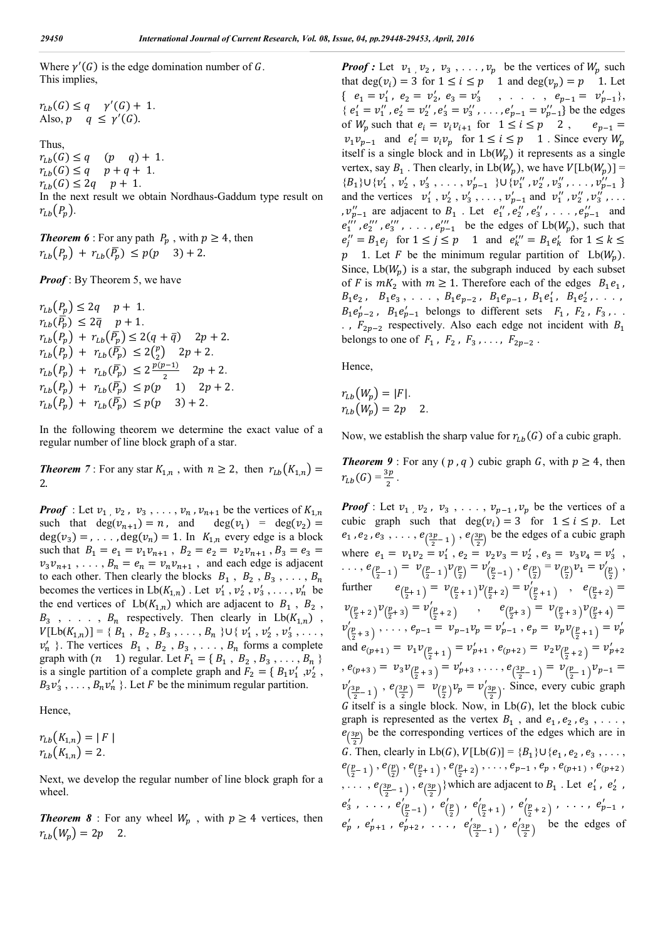Where  $\gamma'(G)$  is the edge domination number of G. This implies,

 $r_{Lb}(G) \leq q \quad \gamma'(G) + 1.$ Also,  $p \ q \leq \gamma'(G)$ . Thus,  $r_{Lb}(G) \leq q$  (p q) + 1.  $r_{Lb}(G) \leq q$   $p + q + 1$ .  $r_{1h}(G) \leq 2q$   $p+1$ . In the next result we obtain Nordhaus-Gaddum type result on  $r_{Lb}(P_p)$ .

*Theorem 6* : For any path  $P_p$ , with  $p \geq 4$ , then  $r_{Lb}(P_p) + r_{Lb}(\bar{P_p}) \le p(p \quad 3) + 2.$ 

*Proof*: By Theorem 5, we have

 $r_{Lb}(P_p) \le 2q$   $p+1$ .  $r_{Lb}(\overline{\overline{P_p}}) \leq 2\overline{q} \quad p+1.$  $r_{Lb}(P_p) + r_{Lb}(\overline{P_p}) \leq 2(q + \overline{q})$   $2p + 2$ .  $r_{Lb}(P_p) + r_{Lb}(\overline{P_p}) \le 2{p \choose 2}$  2p + 2.  $r_{Lb}(P_p) + r_{Lb}(\overline{P_p}) \leq 2\frac{p(p-1)}{2}$   $2p + 2$ .  $r_{Lb}(P_p) + r_{Lb}(\overline{P_p}) \le p(p-1)$   $2p+2$ .  $r_{Lb}(P_p) + r_{Lb}(\bar{P_p}) \le p(p \quad 3) + 2.$ 

In the following theorem we determine the exact value of a regular number of line block graph of a star.

**Theorem** 7 : For any star  $K_{1,n}$ , with  $n \ge 2$ , then  $r_{Lb}(K_{1,n}) =$ 2.

*Proof* : Let  $v_1$ ,  $v_2$ ,  $v_3$ , ...,  $v_n$ ,  $v_{n+1}$  be the vertices of  $K_{1,n}$ such that  $deg(v_{n+1}) = n$ , and  $deg(v_1) = deg(v_2) =$  $deg(v_3) =$ , ...,  $deg(v_n) = 1$ . In  $K_{1,n}$  every edge is a block such that  $B_1 = e_1 = v_1 v_{n+1}$ ,  $B_2 = e_2 = v_2 v_{n+1}$ ,  $B_3 = e_3 = e_4$  $v_3v_{n+1}$ , ...,  $B_n = e_n = v_nv_{n+1}$ , and each edge is adjacent to each other. Then clearly the blocks  $B_1$ ,  $B_2$ ,  $B_3$ , ...,  $B_n$ becomes the vertices in  $Lb(K_{1,n})$ . Let  $v'_1$ ,  $v'_2$ ,  $v'_3$ , ...,  $v'_n$  be the end vertices of  $Lb(K_{1,n})$  which are adjacent to  $B_1$ ,  $B_2$ ,  $B_3$ , ...,  $B_n$  respectively. Then clearly in  $Lb(K_{1,n})$ ,  $V[\text{Lb}(K_{1,n})] = \{ B_1, B_2, B_3, \ldots, B_n \} \cup \{ v'_1, v'_2, v'_3, \ldots, v'_n \}$  $v'_n$  }. The vertices  $B_1$ ,  $B_2$ ,  $B_3$ , ...,  $B_n$  forms a complete graph with  $(n \ 1)$  regular. Let  $F_1 = \{B_1, B_2, B_3, \ldots, B_n\}$ is a single partition of a complete graph and  $F_2 = \{ B_1 v'_1, v'_2, \}$  $B_3v'_3, \ldots, B_nv'_n$  }. Let F be the minimum regular partition.

Hence,

 $r_{Lb}(K_{1,n}) = |F|$  $r_{Lb}(K_{1,n}) = 2.$ 

Next, we develop the regular number of line block graph for a wheel.

**Theorem 8** : For any wheel  $W_p$ , with  $p \ge 4$  vertices, then  $r_{Lb}(W_p) = 2p$  2.

*Proof :* Let  $v_1$   $v_2$ ,  $v_3$ ,  $\ldots$ ,  $v_p$  be the vertices of  $W_p$  such that deg( $v_i$ ) = 3 for  $1 \le i \le p$  1 and deg( $v_p$ ) = p 1. Let {  $e_1 = v'_1$ ,  $e_2 = v'_2$ ,  $e_3 = v'_3$ , ...,  $e_{p-1} = v'_{p-1}$ }, {  $e'_1 = v''_1$ ,  $e'_2 = v''_2$ ,  $e'_3 = v''_3$ , ...,  $e'_{p-1} = v''_{p-1}$ } be the edges of  $W_p$  such that  $e_i = v_i v_{i+1}$  for  $1 \le i \le p \quad 2$ ,  $e_{p-1} =$  $v_1 v_{p-1}$  and  $e'_i = v_i v_p$  for  $1 \le i \le p$  1. Since every  $W_p$ itself is a single block and in  $Lb(W_n)$  it represents as a single vertex, say  $B_1$ . Then clearly, in  $Lb(W_p)$ , we have  $V[Lb(W_p)] =$  ${B_1}$  $\cup$  { $v'_1$ ,  $v'_2$ ,  $v'_3$ , ...,  $v'_{p-1}$  } $\cup$  { $v''_1$ ,  $v''_2$ ,  $v''_3$ , ...,  $v''_{p-1}$  } and the vertices  $v'_1$ ,  $v'_2$ ,  $v'_3$ , ...,  $v'_{p-1}$  and  $v''_1$ ,  $v''_2$ ,  $v''_3$ , ... ,  $v_{p-1}''$  are adjacent to  $B_1$ . Let  $e_1'', e_2'', e_3'', \ldots, e_{p-1}''$  and  $e_1''', e_2''', e_3''', \ldots, e_{p-1}''$  be the edges of  $Lb(W_p)$ , such that  $e_j'' = B_1 e_j$  for  $1 \le j \le p$  1 and  $e_k''' = B_1 e_k'$  for  $1 \le k \le$  $p \quad 1$ . Let F be the minimum regular partition of Lb( $W_p$ ). Since,  $Lb(W_n)$  is a star, the subgraph induced by each subset of F is  $mK_2$  with  $m \geq 1$ . Therefore each of the edges  $B_1e_1$ ,  $B_1e_2$ ,  $B_1e_3$ , ...,  $B_1e_{p-2}$ ,  $B_1e_{p-1}$ ,  $B_1e'_1$ ,  $B_1e'_2$ , ...  $B_1e'_{p-2}$ ,  $B_1e'_{p-1}$  belongs to different sets  $F_1$ ,  $F_2$ ,  $F_3$ , ... . ,  $F_{2p-2}$  respectively. Also each edge not incident with  $B_1$ belongs to one of  $F_1$ ,  $F_2$ ,  $F_3$ , ...,  $F_{2p-2}$ .

Hence,

$$
r_{Lb}(W_p) = |F|.
$$
  

$$
r_{Lb}(W_p) = 2p \qquad 2.
$$

Now, we establish the sharp value for  $r_{Lb}(G)$  of a cubic graph.

*Theorem 9* : For any ( $p$ ,  $q$ ) cubic graph  $G$ , with  $p \geq 4$ , then  $r_{Lb}(G) = \frac{3p}{2}$ .

*Proof* : Let  $v_1$ ,  $v_2$ ,  $v_3$ , ...,  $v_{p-1}$ ,  $v_p$  be the vertices of a cubic graph such that  $deg(v_i) = 3$  for  $1 \le i \le p$ . Let  $e_1$ ,  $e_2$ ,  $e_3$ , ...,  $e_{\left(\frac{3p}{2}1\right)}$ ,  $e_{\left(\frac{3p}{2}\right)}$  be the edges of a cubic graph where  $e_1 = v_1 v_2 = v'_1$ ,  $e_2 = v_2 v_3 = v'_2$ ,  $e_3 = v_3 v_4 = v'_3$ , ...,  $e_{(\frac{p}{2}-1)} = v_{(\frac{p}{2}-1)}v_{(\frac{p}{2})} = v_{(\frac{p}{2}-1)}'$ ,  $e_{(\frac{p}{2})} = v_{(\frac{p}{2})}v_1 = v_{(\frac{p}{2})}'$ , further  $(\frac{p}{2}+1) = \nu(\frac{p}{2}+1)\nu(\frac{p}{2}+2) = \nu'(\frac{p}{2}+1)$ ,  $e(\frac{p}{2}+2) =$  $v_{(\frac{p}{2}+2)}v_{(\frac{p}{2}+3)} = v'_{(\frac{p}{2}+2)}$ ,  $e_{(\frac{p}{2}+3)} = v_{(\frac{p}{2}+3)}v_{(\frac{p}{2}+4)} =$  $v'_{(\frac{p}{2}+3)}, \ldots, e_{p-1} = v_{p-1}v_p = v'_{p-1}, e_p = v_p v_{(\frac{p}{2}+1)} = v'_p$ and  $e_{(p+1)} = v_1 v_{(\frac{p}{2}+1)} = v'_{p+1}, e_{(p+2)} = v_2 v_{(\frac{p}{2}+2)} = v'_{p+2}$  $, e_{(p+3)} = v_3 v_{(\frac{p}{2}+3)} = v'_{p+3}, \ldots, e_{(\frac{3p}{2}-1)} = v_{(\frac{p}{2}-1)} v_{p-1} =$  $v'(\frac{3p}{2}-1)$ ,  $e(\frac{3p}{2}) = v(\frac{p}{2})v_p = v'(\frac{3p}{2})$ . Since, every cubic graph G itself is a single block. Now, in  $Lb(G)$ , let the block cubic graph is represented as the vertex  $B_1$ , and  $e_1$ ,  $e_2$ ,  $e_3$ , ...,  $e_{\left(\frac{3p}{2}\right)}$  be the corresponding vertices of the edges which are in G. Then, clearly in  $Lb(G)$ ,  $V[Lb(G)] = {B_1} \cup {e_1, e_2, e_3, \ldots}$  $e_{(\frac{p}{2}-1)}, e_{(\frac{p}{2})}, e_{(\frac{p}{2}+1)}, e_{(\frac{p}{2}+2)}, \ldots, e_{p-1}, e_p, e_{(p+1)}, e_{(p+2)}$  $, \ldots, e_{(\frac{3p}{2}-1)}, e_{(\frac{3p}{2})}\}\$ which are adjacent to  $B_1$ . Let  $e'_1$ ,  $e'_2$ ,  $e'_3$ , ...,  $e'_{(\frac{p}{2}-1)}$ ,  $e'_{(\frac{p}{2})}$ ,  $e'_{(\frac{p}{2}+1)}$ ,  $e'_{(\frac{p}{2}+2)}$ , ...,  $e'_{p-1}$ ,  $e'_p$ ,  $e'_{p+1}$ ,  $e'_{p+2}$ , ...,  $e'_{\left(\frac{3p}{2} - 1\right)}$ ,  $e'_{\left(\frac{3p}{2}\right)}$  be the edges of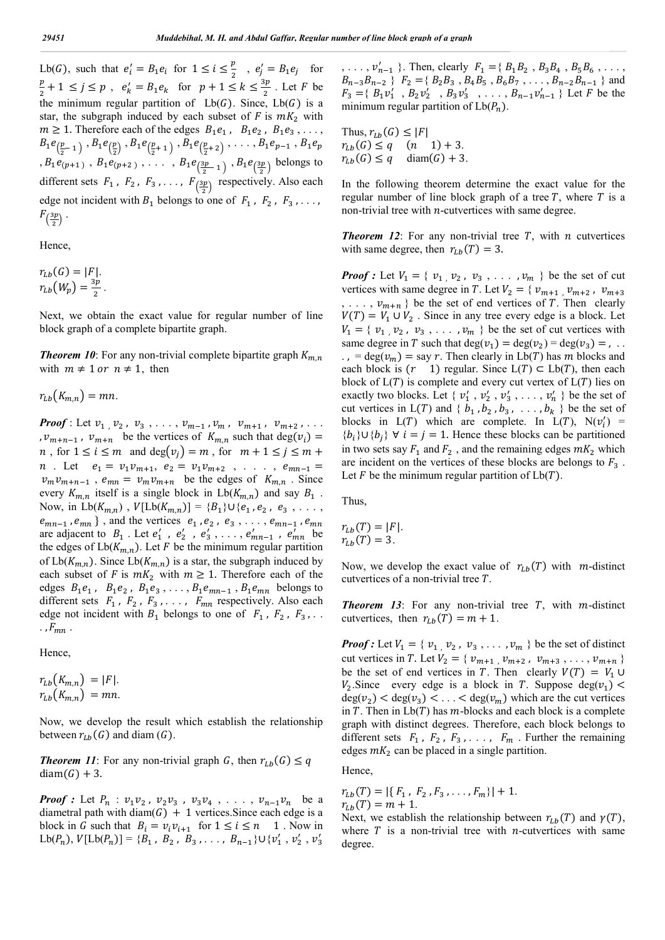Lb(G), such that  $e'_i = B_1 e_i$  for  $1 \le i \le \frac{p}{2}$ ,  $e'_j = B_1 e_j$  for  $\frac{p}{2} + 1 \le j \le p$ ,  $e'_k = B_1 e_k$  for  $p + 1 \le k \le \frac{3p}{2}$ . Let *F* be the minimum regular partition of  $Lb(G)$ . Since,  $Lb(G)$  is a star, the subgraph induced by each subset of  $F$  is  $mK_2$  with  $m \geq 1$ . Therefore each of the edges  $B_1e_1$ ,  $B_1e_2$ ,  $B_1e_3$ , ...  $B_1e_{(\frac{p}{2}-1)}, B_1e_{(\frac{p}{2})}, B_1e_{(\frac{p}{2}+1)}, B_1e_{(\frac{p}{2}+2)}, \ldots, B_1e_{p-1}, B_1e_p$  $, B_1e_{(p+1)}, B_1e_{(p+2)}, \ldots, B_1e_{(\frac{3p}{2}-1)}, B_1e_{(\frac{3p}{2})}$  belongs to different sets  $F_1$ ,  $F_2$ ,  $F_3$ , ...,  $F_{\left(\frac{3p}{2}\right)}$  respectively. Also each edge not incident with  $B_1$  belongs to one of  $F_1$ ,  $F_2$ ,  $F_3$ , ...  $F_{\left(\frac{3p}{2}\right)}$  .

Hence,

$$
r_{Lb}(G) = |F|.
$$
  

$$
r_{Lb}(W_p) = \frac{3p}{2}.
$$

Next, we obtain the exact value for regular number of line block graph of a complete bipartite graph.

**Theorem 10**: For any non-trivial complete bipartite graph  $K_{m,n}$ with  $m \neq 1$  or  $n \neq 1$ , then

 $r_{Lb}(K_{m,n}) = mn$ .

*Proof* : Let  $v_1$  ,  $v_2$  ,  $v_3$  , ...,  $v_{m-1}$  ,  $v_m$  ,  $v_{m+1}$  ,  $v_{m+2}$  , ... ,  $v_{m+n-1}$ ,  $v_{m+n}$  be the vertices of  $K_{m,n}$  such that deg( $v_i$ ) = *n*, for  $1 \le i \le m$  and  $\deg(v_i) = m$ , for  $m + 1 \le j \le m + 1$ *n* . Let  $e_1 = v_1 v_{m+1}, e_2 = v_1 v_{m+2}, \ldots, e_{mn-1} =$  $v_m v_{m+n-1}$ ,  $e_{mn} = v_m v_{m+n}$  be the edges of  $K_{m,n}$ . Since every  $K_{m,n}$  itself is a single block in  $Lb(K_{m,n})$  and say  $B_1$ . Now, in  $Lb(K_{m,n})$ ,  $V[Lb(K_{m,n})] = {B_1} \cup {e_1, e_2, e_3, \ldots}$  $e_{mn-1}$ ,  $e_{mn}$ }, and the vertices  $e_1$ ,  $e_2$ ,  $e_3$ , ...,  $e_{mn-1}$ ,  $e_{mn}$ are adjacent to  $B_1$ . Let  $e'_1$ ,  $e'_2$ ,  $e'_3$ , ...,  $e'_{mn-1}$ ,  $e'_{mn}$  be the edges of  $Lb(K_{m,n})$ . Let F be the minimum regular partition of  $Lb(K_{m,n})$ . Since  $Lb(K_{m,n})$  is a star, the subgraph induced by each subset of F is  $mK_2$  with  $m \geq 1$ . Therefore each of the edges  $B_1e_1$ ,  $B_1e_2$ ,  $B_1e_3$ , ...,  $B_1e_{mn-1}$ ,  $B_1e_{mn}$  belongs to different sets  $F_1$ ,  $F_2$ ,  $F_3$ , ...,  $F_{mn}$  respectively. Also each edge not incident with  $B_1$  belongs to one of  $F_1$ ,  $F_2$ ,  $F_3$ ,...  $.$ ,  $F_{mn}$ .

Hence,

 $r_{Lb}(K_{m,n}) = |F|.$  $r_{l,b}(K_{m,n}) = mn$ .

Now, we develop the result which establish the relationship between  $r_{Lb}(G)$  and diam  $(G)$ .

*Theorem 11*: For any non-trivial graph G, then  $r_{Lb}(G) \leq q$  $diam(G) + 3$ .

*Proof* : Let  $P_n$  :  $v_1v_2$ ,  $v_2v_3$ ,  $v_3v_4$ , ...,  $v_{n-1}v_n$  be a diametral path with diam( $G$ ) + 1 vertices. Since each edge is a block in G such that  $B_i = v_i v_{i+1}$  for  $1 \le i \le n$  1. Now in  $Lb(P_n), V[Lb(P_n)] = {B_1, B_2, B_3, ..., B_{n-1}} \cup {v'_1, v'_2, v'_3}$ 

 $, \ldots, v'_{n-1}$  }. Then, clearly  $F_1 = \{ B_1 B_2, B_3 B_4, B_5 B_6, \ldots,$  $B_{n-3}B_{n-2}$  }  $F_2 = {B_2B_3, B_4B_5, B_6B_7, \ldots, B_{n-2}B_{n-1}}$  and  $F_3 = \{ B_1 v'_1, B_2 v'_2, B_3 v'_3, \ldots, B_{n-1} v'_{n-1} \}$  Let F be the minimum regular partition of  $Lb(P_n)$ .

Thus,  $r_{Lb}(G) \leq |F|$  $r_{1h}(G) \leq q \quad (n \quad 1) + 3.$  $r_{Lb}(G) \leq q$  diam(G) + 3.

In the following theorem determine the exact value for the regular number of line block graph of a tree  $T$ , where  $T$  is a non-trivial tree with  $n$ -cutvertices with same degree.

**Theorem 12**: For any non-trivial tree  $T$ , with  $n$  cutvertices with same degree, then  $r_{Lb}(T) = 3$ .

*Proof :* Let  $V_1 = \{ v_1, v_2, v_3, \ldots, v_m \}$  be the set of cut vertices with same degree in T. Let  $V_2 = \{ v_{m+1}, v_{m+2}, v_{m+3} \}$  $, \ldots, v_{m+n}$  be the set of end vertices of T. Then clearly  $V(T) = V_1 \cup V_2$ . Since in any tree every edge is a block. Let  $V_1 = \{ v_1, v_2, v_3, \ldots, v_m \}$  be the set of cut vertices with same degree in T such that deg( $v_1$ ) = deg( $v_2$ ) = deg( $v_3$ ) = , .. .. = deg( $v_m$ ) = say r. Then clearly in Lb(T) has m blocks and each block is  $(r \t 1)$  regular. Since  $L(T) \subset Lb(T)$ , then each block of  $L(T)$  is complete and every cut vertex of  $L(T)$  lies on exactly two blocks. Let {  $v'_1$ ,  $v'_2$ ,  $v'_3$ , ...,  $v'_n$  } be the set of cut vertices in  $L(T)$  and  $\{b_1, b_2, b_3, \ldots, b_k\}$  be the set of blocks in  $L(T)$  which are complete. In  $L(T)$ ,  $N(v'_i)$  =  ${b_i}$  ∪ ${b_i}$   $\forall i = j = 1$ . Hence these blocks can be partitioned in two sets say  $F_1$  and  $F_2$ , and the remaining edges  $mK_2$  which are incident on the vertices of these blocks are belongs to  $F_3$ . Let  $F$  be the minimum regular partition of  $Lb(T)$ .

Thus,

$$
r_{Lb}(T) = |F|.
$$
  

$$
r_{Lb}(T) = 3.
$$

Now, we develop the exact value of  $r_{Lb}(T)$  with m-distinct cutvertices of a non-trivial tree  $T$ .

**Theorem 13**: For any non-trivial tree  $T$ , with  $m$ -distinct cutvertices, then  $r_{Lb}(T) = m + 1$ .

**Proof :** Let  $V_1 = \{ v_1, v_2, v_3, \ldots, v_m \}$  be the set of distinct cut vertices in *T*. Let  $V_2 = \{ v_{m+1}, v_{m+2}, v_{m+3}, \ldots, v_{m+n} \}$ be the set of end vertices in T. Then clearly  $V(T) = V_1 \cup$  $V_2$ . Since every edge is a block in T. Suppose deg( $v_1$ ) <  $deg(v_2) < deg(v_3) < \ldots < deg(v_m)$  which are the cut vertices in  $T$ . Then in  $Lb(T)$  has  $m$ -blocks and each block is a complete graph with distinct degrees. Therefore, each block belongs to different sets  $F_1$ ,  $F_2$ ,  $F_3$ , ...,  $F_m$ . Further the remaining edges  $mK_2$  can be placed in a single partition.

Hence,

$$
r_{Lb}(T) = |\{F_1, F_2, F_3, \dots, F_m\}| + 1.
$$
  

$$
r_{Lb}(T) = m + 1.
$$

Next, we establish the relationship between  $r_{<sub>1b</sub>}(T)$  and  $\gamma(T)$ , where  $T$  is a non-trivial tree with *n*-cutvertices with same degree.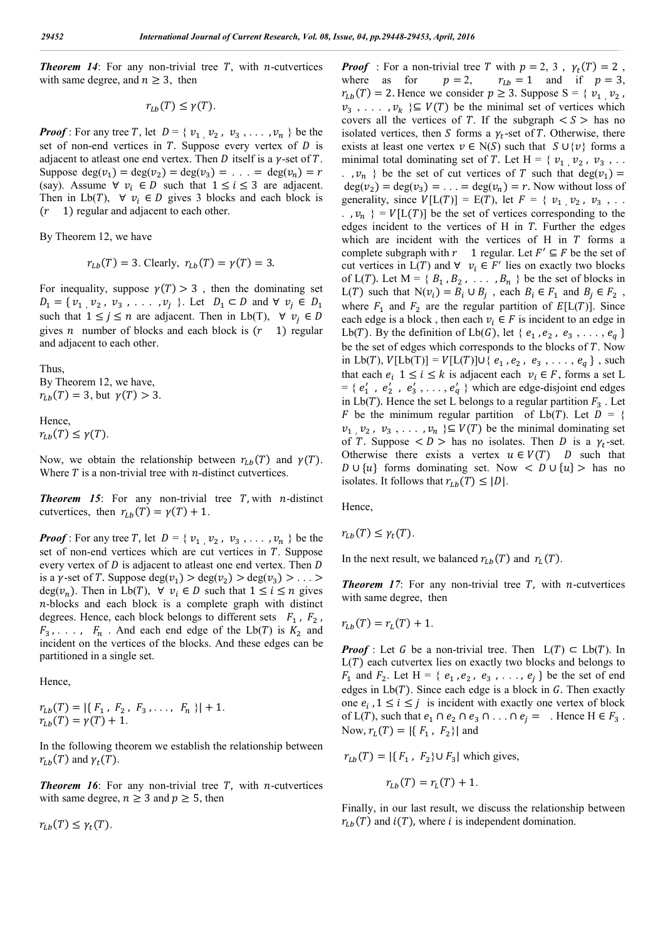**Theorem 14**: For any non-trivial tree  $T$ , with *n*-cutvertices with same degree, and  $n \geq 3$ , then

 $r_{th}(T) \leq \gamma(T)$ .

*Proof*: For any tree T, let  $D = \{ v_1, v_2, v_3, \ldots, v_n \}$  be the set of non-end vertices in  $T$ . Suppose every vertex of  $D$  is adjacent to atleast one end vertex. Then D itself is a  $\gamma$ -set of T. Suppose  $deg(v_1) = deg(v_2) = deg(v_3) = \ldots = deg(v_n) = r$ (say). Assume  $\forall v_i \in D$  such that  $1 \le i \le 3$  are adjacent. Then in Lb(T),  $\forall v_i \in D$  gives 3 blocks and each block is 1) regular and adjacent to each other.

By Theorem 12, we have

 $r_{1h}(T) = 3$ . Clearly,  $r_{1h}(T) = \gamma(T) = 3$ .

For inequality, suppose  $\gamma(T) > 3$ , then the dominating set  $D_1 = \{ v_1, v_2, v_3, \ldots, v_i \}$ . Let  $D_1 \subset D$  and  $\forall v_i \in D_1$ such that  $1 \leq j \leq n$  are adjacent. Then in Lb(T),  $\forall v_i \in D$ gives *n* number of blocks and each block is  $(r \t 1)$  regular and adjacent to each other.

Thus, By Theorem 12, we have,  $r_{Lb}(T) = 3$ , but  $\gamma(T) > 3$ .

Hence,  $r_{Lh}(T) \leq \gamma(T)$ .

Now, we obtain the relationship between  $r_{l,b}(T)$  and  $\gamma(T)$ . Where  $T$  is a non-trivial tree with  $n$ -distinct cutvertices.

**Theorem 15**: For any non-trivial tree  $T$ , with  $n$ -distinct cutvertices, then  $r_{Lb}(T) = \gamma(T) + 1$ .

*Proof*: For any tree T, let  $D = \{v_1, v_2, v_3, \ldots, v_n\}$  be the set of non-end vertices which are cut vertices in  $T$ . Suppose every vertex of  $D$  is adjacent to atleast one end vertex. Then  $D$ is a  $\gamma$ -set of T. Suppose deg( $v_1$ ) > deg( $v_2$ ) > deg( $v_3$ ) > ... > deg( $v_n$ ). Then in Lb(T),  $\forall v_i \in D$  such that  $1 \le i \le n$  gives -blocks and each block is a complete graph with distinct degrees. Hence, each block belongs to different sets  $F_1$ ,  $F_2$ ,  $F_3$ , ...,  $F_n$ . And each end edge of the Lb(T) is  $K_2$  and incident on the vertices of the blocks. And these edges can be partitioned in a single set.

Hence,

 $r_{Lb}(T) = |\{ F_1, F_2, F_3, \ldots, F_n \}| + 1.$  $r_{Lb}(T) = \gamma(T) + 1.$ 

In the following theorem we establish the relationship between  $r_{Lh}(T)$  and  $\gamma_t(T)$ .

**Theorem 16**: For any non-trivial tree  $T$ , with *n*-cutvertices with same degree,  $n \geq 3$  and  $p \geq 5$ , then

 $r_{Lb}(T) \leq \gamma_t(T)$ .

**Proof** : For a non-trivial tree T with  $p = 2$ , 3,  $\gamma_t(T) = 2$ , where as for  $p = 2$ ,  $r_{Lb} = 1$  and if  $p = 3$ ,  $r_{Lb} = 1$  and if  $p = 3$ ,  $r_{l,b}(T) = 2$ . Hence we consider  $p \geq 3$ . Suppose  $S = \{ v_1, v_2, \ldots, v_n\}$  $v_3$ , ...,  $v_k$  }⊆  $V(T)$  be the minimal set of vertices which covers all the vertices of T. If the subgraph  $\lt S$  has no isolated vertices, then S forms a  $\gamma_t$ -set of T. Otherwise, there exists at least one vertex  $v \in N(S)$  such that  $S \cup \{v\}$  forms a minimal total dominating set of T. Let H = {  $v_1$  ,  $v_2$  ,  $v_3$  , ... .  $v_n$  } be the set of cut vertices of T such that deg( $v_1$ ) =  $deg(v_2) = deg(v_3) = \ldots = deg(v_n) = r$ . Now without loss of generality, since  $V[L(T)] = E(T)$ , let  $F = \{ v_1, v_2, v_3, \dots \}$ .  $,v_n$  } =  $V[L(T)]$  be the set of vertices corresponding to the edges incident to the vertices of  $H$  in  $T$ . Further the edges which are incident with the vertices of H in  $T$  forms a complete subgraph with  $r \quad 1$  regular. Let  $F' \subseteq F$  be the set of cut vertices in  $L(T)$  and  $\forall v_i \in F'$  lies on exactly two blocks of  $L(T)$ . Let  $M = \{ B_1, B_2, \ldots, B_n \}$  be the set of blocks in  $L(T)$  such that  $N(v_i) = B_i \cup B_j$ , each  $B_i \in F_1$  and  $B_j \in F_2$ , where  $F_1$  and  $F_2$  are the regular partition of  $E[L(T)]$ . Since each edge is a block, then each  $v_i \in F$  is incident to an edge in Lb(T). By the definition of Lb(G), let {  $e_1$ ,  $e_2$ ,  $e_3$ , ...,  $e_a$ } be the set of edges which corresponds to the blocks of  $T$ . Now in Lb(T),  $V[Lb(T)] = V[L(T)] \cup \{ e_1, e_2, e_3, \ldots, e_q \}$ , such that each  $e_i$   $1 \le i \le k$  is adjacent each  $v_i \in F$ , forms a set L  $= \{ e'_1, e'_2, e'_3, \ldots, e'_q \}$  which are edge-disjoint end edges in  $L\mathfrak{b}(T)$ . Hence the set L belongs to a regular partition  $F_3$ . Let F be the minimum regular partition of  $Lb(T)$ . Let  $D = \{$  $v_1$ ,  $v_2$ ,  $v_3$ , ...,  $v_n$  } $\subseteq$   $V(T)$  be the minimal dominating set of T. Suppose  $\langle D \rangle$  has no isolates. Then D is a  $\gamma_t$ -set. Otherwise there exists a vertex  $u \in V(T)$  D such that *D* ∪ {*u*} forms dominating set. Now < *D* ∪ {*u*} > has no isolates. It follows that  $r_{Lb}(T) \leq |D|$ .

Hence,

$$
r_{Lb}(T) \leq \gamma_t(T).
$$

In the next result, we balanced  $r_{Lb}(T)$  and  $r_L(T)$ .

**Theorem 17:** For any non-trivial tree  $T$ , with *n*-cutvertices with same degree, then

$$
r_{Lb}(T) = r_L(T) + 1.
$$

*Proof* : Let G be a non-trivial tree. Then  $L(T) \subset Lb(T)$ . In  $L(T)$  each cutvertex lies on exactly two blocks and belongs to  $F_1$  and  $F_2$ . Let H = {  $e_1$ ,  $e_2$ ,  $e_3$ , ...,  $e_i$ } be the set of end edges in  $Lb(T)$ . Since each edge is a block in G. Then exactly one  $e_i$ ,  $1 \le i \le j$  is incident with exactly one vertex of block of  $L(T)$ , such that  $e_1 \cap e_2 \cap e_3 \cap \ldots \cap e_j = \ldots$  Hence  $H \in F_3$ . Now,  $r_L(T) = |\{F_1, F_2\}|$  and

 $r_{Lb}(T) = |\{ F_1, F_2 \} \cup F_3|$  which gives,

$$
r_{Lb}(T) = r_L(T) + 1.
$$

Finally, in our last result, we discuss the relationship between  $r_{Lb}(T)$  and  $i(T)$ , where i is independent domination.